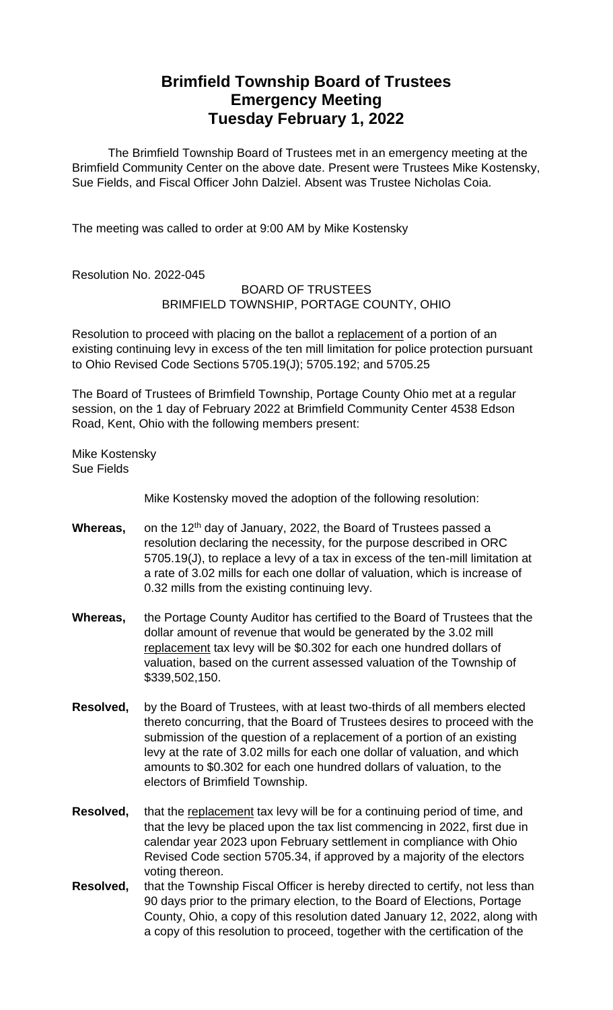## **Brimfield Township Board of Trustees Emergency Meeting Tuesday February 1, 2022**

The Brimfield Township Board of Trustees met in an emergency meeting at the Brimfield Community Center on the above date. Present were Trustees Mike Kostensky, Sue Fields, and Fiscal Officer John Dalziel. Absent was Trustee Nicholas Coia.

The meeting was called to order at 9:00 AM by Mike Kostensky

Resolution No. 2022-045

## BOARD OF TRUSTEES BRIMFIELD TOWNSHIP, PORTAGE COUNTY, OHIO

Resolution to proceed with placing on the ballot a replacement of a portion of an existing continuing levy in excess of the ten mill limitation for police protection pursuant to Ohio Revised Code Sections 5705.19(J); 5705.192; and 5705.25

The Board of Trustees of Brimfield Township, Portage County Ohio met at a regular session, on the 1 day of February 2022 at Brimfield Community Center 4538 Edson Road, Kent, Ohio with the following members present:

Mike Kostensky Sue Fields

Mike Kostensky moved the adoption of the following resolution:

- Whereas, on the 12<sup>th</sup> day of January, 2022, the Board of Trustees passed a resolution declaring the necessity, for the purpose described in ORC 5705.19(J), to replace a levy of a tax in excess of the ten-mill limitation at a rate of 3.02 mills for each one dollar of valuation, which is increase of 0.32 mills from the existing continuing levy.
- **Whereas,** the Portage County Auditor has certified to the Board of Trustees that the dollar amount of revenue that would be generated by the 3.02 mill replacement tax levy will be \$0.302 for each one hundred dollars of valuation, based on the current assessed valuation of the Township of \$339,502,150.
- **Resolved,** by the Board of Trustees, with at least two-thirds of all members elected thereto concurring, that the Board of Trustees desires to proceed with the submission of the question of a replacement of a portion of an existing levy at the rate of 3.02 mills for each one dollar of valuation, and which amounts to \$0.302 for each one hundred dollars of valuation, to the electors of Brimfield Township.
- **Resolved,** that the replacement tax levy will be for a continuing period of time, and that the levy be placed upon the tax list commencing in 2022, first due in calendar year 2023 upon February settlement in compliance with Ohio Revised Code section 5705.34, if approved by a majority of the electors voting thereon.
- **Resolved,** that the Township Fiscal Officer is hereby directed to certify, not less than 90 days prior to the primary election, to the Board of Elections, Portage County, Ohio, a copy of this resolution dated January 12, 2022, along with a copy of this resolution to proceed, together with the certification of the